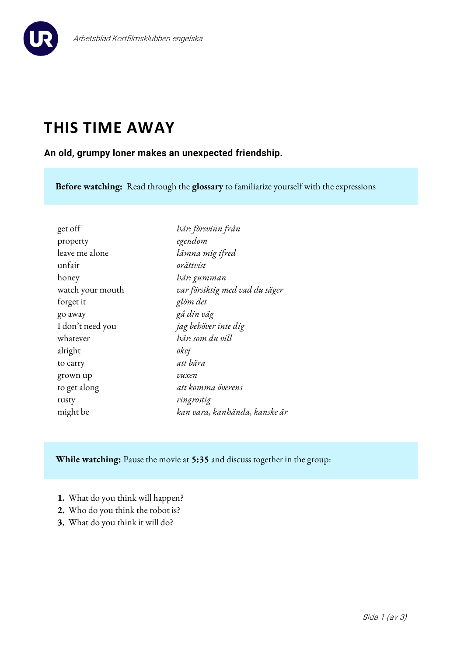

# **THIS TIME AWAY**

# **An old, grumpy loner makes an unexpected friendship.**

**Before watching:** Read through the **glossary** to familiarize yourself with the expressions

| get off          | här: försvinn från             |
|------------------|--------------------------------|
| property         | egendom                        |
| leave me alone   | lämna mig ifred                |
| unfair           | orättvist                      |
| honey            | här: gumman                    |
| watch your mouth | var försiktig med vad du säger |
| forget it        | glöm det                       |
| go away          | gå din väg                     |
| I don't need you | jag behöver inte dig           |
| whatever         | här: som du vill               |
| alright          | okej                           |
| to carry         | att bära                       |
| grown up         | vuxen                          |
| to get along     | att komma överens              |
| rusty            | ringrostig                     |
| might be         | kan vara, kanhända, kanske är  |

# **While watching:** Pause the movie at **5:35** and discuss together in the group:

- **1.** What do you think will happen?
- **2.** Who do you think the robot is?
- **3.** What do you think it will do?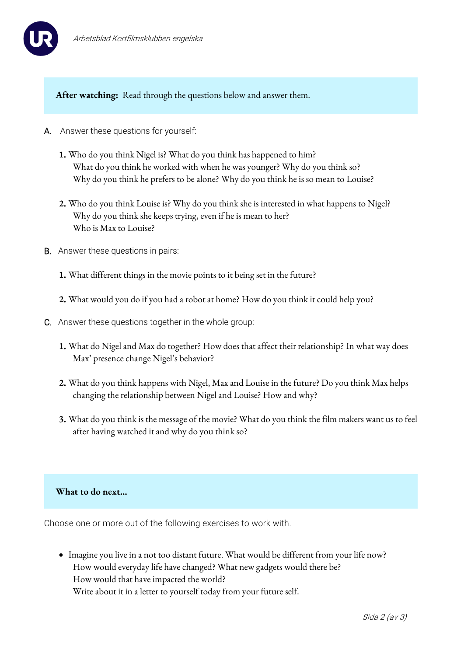

**After watching:** Read through the questions below and answer them.

- A. Answer these questions for yourself:
	- **1.** Who do you think Nigel is? What do you think has happened to him? What do you think he worked with when he was younger? Why do you think so? Why do you think he prefers to be alone? Why do you think he is so mean to Louise?
	- **2.** Who do you think Louise is? Why do you think she is interested in what happens to Nigel? Why do you think she keeps trying, even if he is mean to her? Who is Max to Louise?
- B. Answer these questions in pairs:
	- **1.** What different things in the movie points to it being set in the future?
	- **2.** What would you do if you had a robot at home? How do you think it could help you?
- C. Answer these questions together in the whole group:
	- **1.** What do Nigel and Max do together? How does that affect their relationship? In what way does Max' presence change Nigel's behavior?
	- **2.** What do you think happens with Nigel, Max and Louise in the future? Do you think Max helps changing the relationship between Nigel and Louise? How and why?
	- **3.** What do you think is the message of the movie? What do you think the film makers want us to feel after having watched it and why do you think so?

#### **What to do next…**

Choose one or more out of the following exercises to work with.

• Imagine you live in a not too distant future. What would be different from your life now? How would everyday life have changed? What new gadgets would there be? How would that have impacted the world? Write about it in a letter to yourself today from your future self.